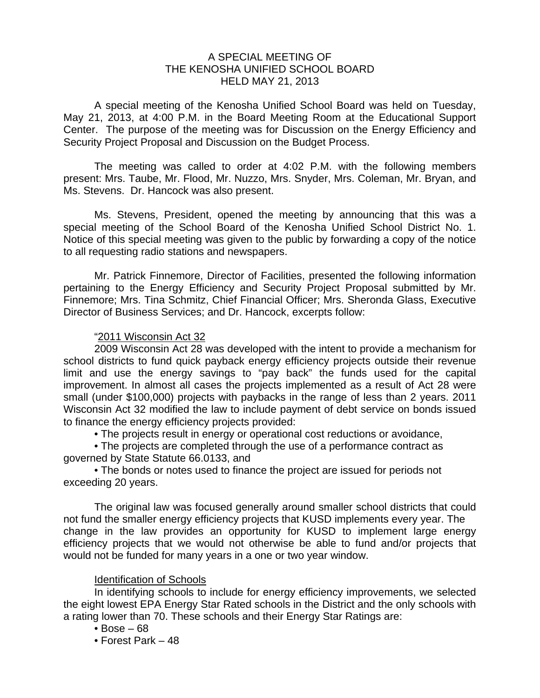#### A SPECIAL MEETING OF THE KENOSHA UNIFIED SCHOOL BOARD HELD MAY 21, 2013

 A special meeting of the Kenosha Unified School Board was held on Tuesday, May 21, 2013, at 4:00 P.M. in the Board Meeting Room at the Educational Support Center. The purpose of the meeting was for Discussion on the Energy Efficiency and Security Project Proposal and Discussion on the Budget Process.

 The meeting was called to order at 4:02 P.M. with the following members present: Mrs. Taube, Mr. Flood, Mr. Nuzzo, Mrs. Snyder, Mrs. Coleman, Mr. Bryan, and Ms. Stevens. Dr. Hancock was also present.

 Ms. Stevens, President, opened the meeting by announcing that this was a special meeting of the School Board of the Kenosha Unified School District No. 1. Notice of this special meeting was given to the public by forwarding a copy of the notice to all requesting radio stations and newspapers.

 Mr. Patrick Finnemore, Director of Facilities, presented the following information pertaining to the Energy Efficiency and Security Project Proposal submitted by Mr. Finnemore; Mrs. Tina Schmitz, Chief Financial Officer; Mrs. Sheronda Glass, Executive Director of Business Services; and Dr. Hancock, excerpts follow:

### "2011 Wisconsin Act 32

 2009 Wisconsin Act 28 was developed with the intent to provide a mechanism for school districts to fund quick payback energy efficiency projects outside their revenue limit and use the energy savings to "pay back" the funds used for the capital improvement. In almost all cases the projects implemented as a result of Act 28 were small (under \$100,000) projects with paybacks in the range of less than 2 years. 2011 Wisconsin Act 32 modified the law to include payment of debt service on bonds issued to finance the energy efficiency projects provided:

• The projects result in energy or operational cost reductions or avoidance,

 • The projects are completed through the use of a performance contract as governed by State Statute 66.0133, and

 • The bonds or notes used to finance the project are issued for periods not exceeding 20 years.

 The original law was focused generally around smaller school districts that could not fund the smaller energy efficiency projects that KUSD implements every year. The change in the law provides an opportunity for KUSD to implement large energy efficiency projects that we would not otherwise be able to fund and/or projects that would not be funded for many years in a one or two year window.

### Identification of Schools

 In identifying schools to include for energy efficiency improvements, we selected the eight lowest EPA Energy Star Rated schools in the District and the only schools with a rating lower than 70. These schools and their Energy Star Ratings are:

- $\cdot$  Bose 68
- Forest Park 48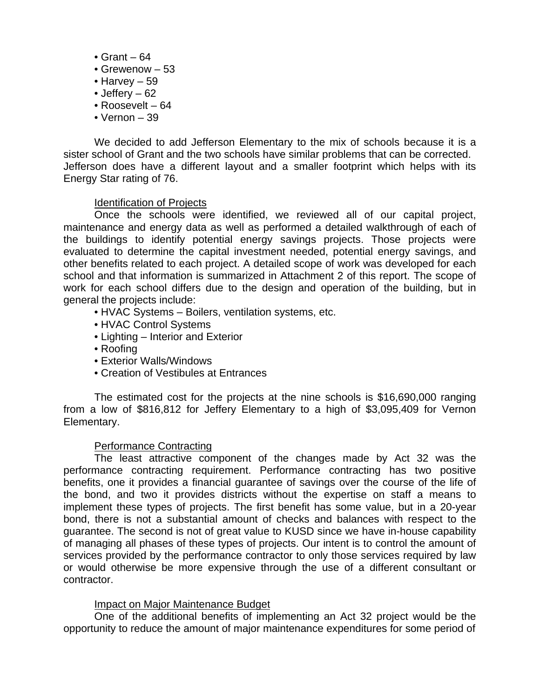- Grant 64
- Grewenow 53
- Harvey 59
- Jeffery 62
- Roosevelt 64
- Vernon 39

 We decided to add Jefferson Elementary to the mix of schools because it is a sister school of Grant and the two schools have similar problems that can be corrected. Jefferson does have a different layout and a smaller footprint which helps with its Energy Star rating of 76.

## Identification of Projects

 Once the schools were identified, we reviewed all of our capital project, maintenance and energy data as well as performed a detailed walkthrough of each of the buildings to identify potential energy savings projects. Those projects were evaluated to determine the capital investment needed, potential energy savings, and other benefits related to each project. A detailed scope of work was developed for each school and that information is summarized in Attachment 2 of this report. The scope of work for each school differs due to the design and operation of the building, but in general the projects include:

- HVAC Systems Boilers, ventilation systems, etc.
- HVAC Control Systems
- Lighting Interior and Exterior
- Roofing
- Exterior Walls/Windows
- Creation of Vestibules at Entrances

 The estimated cost for the projects at the nine schools is \$16,690,000 ranging from a low of \$816,812 for Jeffery Elementary to a high of \$3,095,409 for Vernon Elementary.

### Performance Contracting

 The least attractive component of the changes made by Act 32 was the performance contracting requirement. Performance contracting has two positive benefits, one it provides a financial guarantee of savings over the course of the life of the bond, and two it provides districts without the expertise on staff a means to implement these types of projects. The first benefit has some value, but in a 20-year bond, there is not a substantial amount of checks and balances with respect to the guarantee. The second is not of great value to KUSD since we have in-house capability of managing all phases of these types of projects. Our intent is to control the amount of services provided by the performance contractor to only those services required by law or would otherwise be more expensive through the use of a different consultant or contractor.

### Impact on Major Maintenance Budget

 One of the additional benefits of implementing an Act 32 project would be the opportunity to reduce the amount of major maintenance expenditures for some period of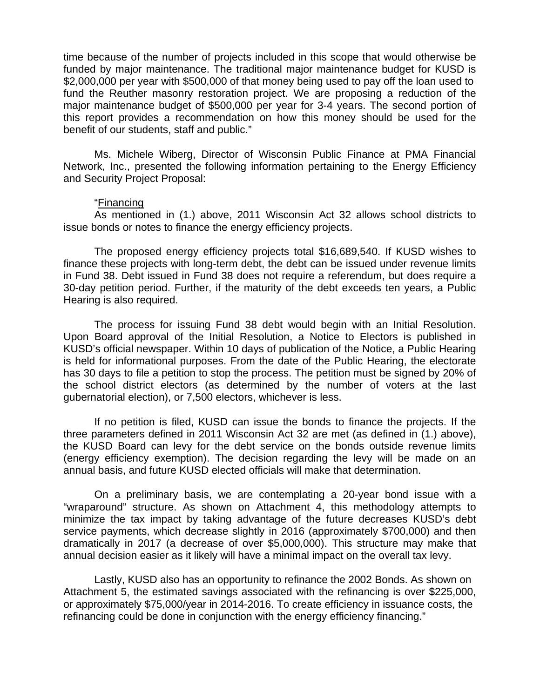time because of the number of projects included in this scope that would otherwise be funded by major maintenance. The traditional major maintenance budget for KUSD is \$2,000,000 per year with \$500,000 of that money being used to pay off the loan used to fund the Reuther masonry restoration project. We are proposing a reduction of the major maintenance budget of \$500,000 per year for 3-4 years. The second portion of this report provides a recommendation on how this money should be used for the benefit of our students, staff and public."

 Ms. Michele Wiberg, Director of Wisconsin Public Finance at PMA Financial Network, Inc., presented the following information pertaining to the Energy Efficiency and Security Project Proposal:

#### "Financing

 As mentioned in (1.) above, 2011 Wisconsin Act 32 allows school districts to issue bonds or notes to finance the energy efficiency projects.

 The proposed energy efficiency projects total \$16,689,540. If KUSD wishes to finance these projects with long-term debt, the debt can be issued under revenue limits in Fund 38. Debt issued in Fund 38 does not require a referendum, but does require a 30-day petition period. Further, if the maturity of the debt exceeds ten years, a Public Hearing is also required.

 The process for issuing Fund 38 debt would begin with an Initial Resolution. Upon Board approval of the Initial Resolution, a Notice to Electors is published in KUSD's official newspaper. Within 10 days of publication of the Notice, a Public Hearing is held for informational purposes. From the date of the Public Hearing, the electorate has 30 days to file a petition to stop the process. The petition must be signed by 20% of the school district electors (as determined by the number of voters at the last gubernatorial election), or 7,500 electors, whichever is less.

 If no petition is filed, KUSD can issue the bonds to finance the projects. If the three parameters defined in 2011 Wisconsin Act 32 are met (as defined in (1.) above), the KUSD Board can levy for the debt service on the bonds outside revenue limits (energy efficiency exemption). The decision regarding the levy will be made on an annual basis, and future KUSD elected officials will make that determination.

 On a preliminary basis, we are contemplating a 20-year bond issue with a "wraparound" structure. As shown on Attachment 4, this methodology attempts to minimize the tax impact by taking advantage of the future decreases KUSD's debt service payments, which decrease slightly in 2016 (approximately \$700,000) and then dramatically in 2017 (a decrease of over \$5,000,000). This structure may make that annual decision easier as it likely will have a minimal impact on the overall tax levy.

 Lastly, KUSD also has an opportunity to refinance the 2002 Bonds. As shown on Attachment 5, the estimated savings associated with the refinancing is over \$225,000, or approximately \$75,000/year in 2014-2016. To create efficiency in issuance costs, the refinancing could be done in conjunction with the energy efficiency financing."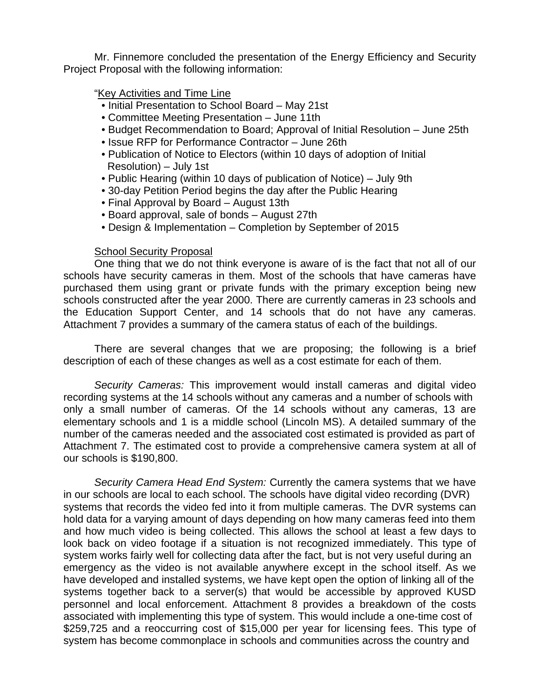Mr. Finnemore concluded the presentation of the Energy Efficiency and Security Project Proposal with the following information:

## "Key Activities and Time Line

- Initial Presentation to School Board May 21st
- Committee Meeting Presentation June 11th
- Budget Recommendation to Board; Approval of Initial Resolution June 25th
- Issue RFP for Performance Contractor June 26th
- Publication of Notice to Electors (within 10 days of adoption of Initial Resolution) – July 1st
- Public Hearing (within 10 days of publication of Notice) July 9th
- 30-day Petition Period begins the day after the Public Hearing
- Final Approval by Board August 13th
- Board approval, sale of bonds August 27th
- Design & Implementation Completion by September of 2015

# **School Security Proposal**

 One thing that we do not think everyone is aware of is the fact that not all of our schools have security cameras in them. Most of the schools that have cameras have purchased them using grant or private funds with the primary exception being new schools constructed after the year 2000. There are currently cameras in 23 schools and the Education Support Center, and 14 schools that do not have any cameras. Attachment 7 provides a summary of the camera status of each of the buildings.

 There are several changes that we are proposing; the following is a brief description of each of these changes as well as a cost estimate for each of them.

*Security Cameras:* This improvement would install cameras and digital video recording systems at the 14 schools without any cameras and a number of schools with only a small number of cameras. Of the 14 schools without any cameras, 13 are elementary schools and 1 is a middle school (Lincoln MS). A detailed summary of the number of the cameras needed and the associated cost estimated is provided as part of Attachment 7. The estimated cost to provide a comprehensive camera system at all of our schools is \$190,800.

*Security Camera Head End System:* Currently the camera systems that we have in our schools are local to each school. The schools have digital video recording (DVR) systems that records the video fed into it from multiple cameras. The DVR systems can hold data for a varying amount of days depending on how many cameras feed into them and how much video is being collected. This allows the school at least a few days to look back on video footage if a situation is not recognized immediately. This type of system works fairly well for collecting data after the fact, but is not very useful during an emergency as the video is not available anywhere except in the school itself. As we have developed and installed systems, we have kept open the option of linking all of the systems together back to a server(s) that would be accessible by approved KUSD personnel and local enforcement. Attachment 8 provides a breakdown of the costs associated with implementing this type of system. This would include a one-time cost of \$259,725 and a reoccurring cost of \$15,000 per year for licensing fees. This type of system has become commonplace in schools and communities across the country and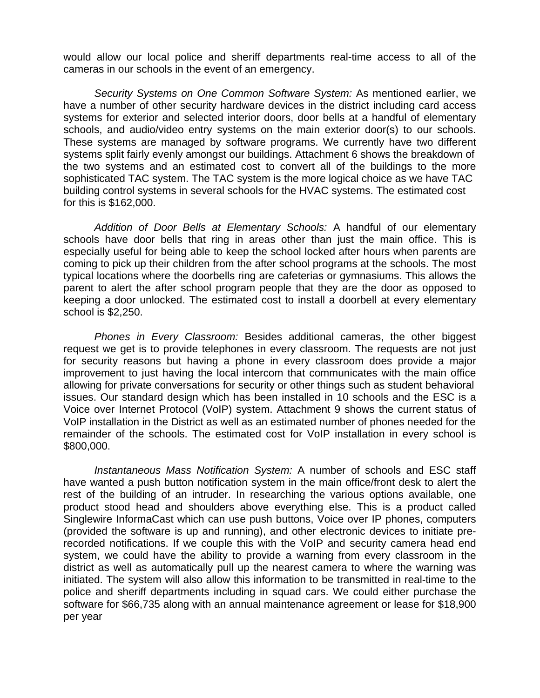would allow our local police and sheriff departments real-time access to all of the cameras in our schools in the event of an emergency.

 *Security Systems on One Common Software System:* As mentioned earlier, we have a number of other security hardware devices in the district including card access systems for exterior and selected interior doors, door bells at a handful of elementary schools, and audio/video entry systems on the main exterior door(s) to our schools. These systems are managed by software programs. We currently have two different systems split fairly evenly amongst our buildings. Attachment 6 shows the breakdown of the two systems and an estimated cost to convert all of the buildings to the more sophisticated TAC system. The TAC system is the more logical choice as we have TAC building control systems in several schools for the HVAC systems. The estimated cost for this is \$162,000.

 *Addition of Door Bells at Elementary Schools:* A handful of our elementary schools have door bells that ring in areas other than just the main office. This is especially useful for being able to keep the school locked after hours when parents are coming to pick up their children from the after school programs at the schools. The most typical locations where the doorbells ring are cafeterias or gymnasiums. This allows the parent to alert the after school program people that they are the door as opposed to keeping a door unlocked. The estimated cost to install a doorbell at every elementary school is \$2,250.

*Phones in Every Classroom:* Besides additional cameras, the other biggest request we get is to provide telephones in every classroom. The requests are not just for security reasons but having a phone in every classroom does provide a major improvement to just having the local intercom that communicates with the main office allowing for private conversations for security or other things such as student behavioral issues. Our standard design which has been installed in 10 schools and the ESC is a Voice over Internet Protocol (VoIP) system. Attachment 9 shows the current status of VoIP installation in the District as well as an estimated number of phones needed for the remainder of the schools. The estimated cost for VoIP installation in every school is \$800,000.

 *Instantaneous Mass Notification System:* A number of schools and ESC staff have wanted a push button notification system in the main office/front desk to alert the rest of the building of an intruder. In researching the various options available, one product stood head and shoulders above everything else. This is a product called Singlewire InformaCast which can use push buttons, Voice over IP phones, computers (provided the software is up and running), and other electronic devices to initiate prerecorded notifications. If we couple this with the VoIP and security camera head end system, we could have the ability to provide a warning from every classroom in the district as well as automatically pull up the nearest camera to where the warning was initiated. The system will also allow this information to be transmitted in real-time to the police and sheriff departments including in squad cars. We could either purchase the software for \$66,735 along with an annual maintenance agreement or lease for \$18,900 per year